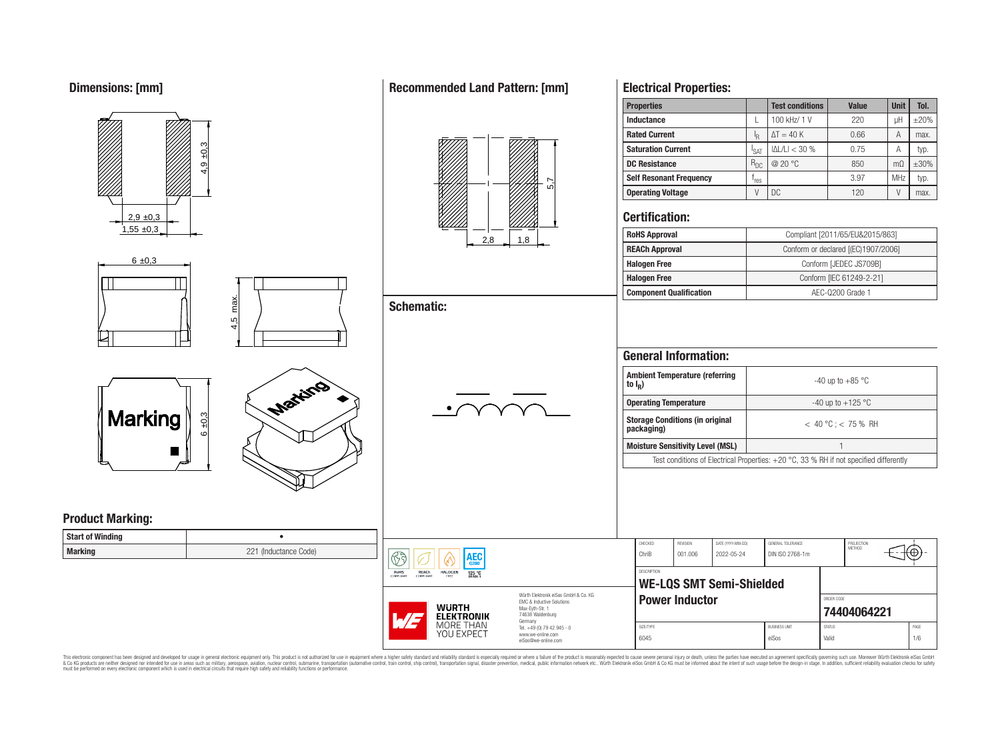**Dimensions: [mm]**



 $6 \pm 0.3$ 

# **Recommended Land Pattern: [mm]**

**Schematic:**

 $\overline{\mathbb{G}}$ Rohs<br>Compliant



## **Electrical Properties:**

| <b>Properties</b>              |                  | <b>Test conditions</b> | <b>Value</b> | <b>Unit</b>    | Tol.       |
|--------------------------------|------------------|------------------------|--------------|----------------|------------|
| Inductance                     |                  | 100 kHz/ 1 V           | 220          | uН             | $\pm 20\%$ |
| <b>Rated Current</b>           | ΙŖ               | $\Delta T = 40 K$      | 0.66         | А              | max.       |
| <b>Saturation Current</b>      | <sup>I</sup> SAT | $ \Delta L/L  < 30$ %  | 0.75         | Α              | typ.       |
| <b>DC Resistance</b>           | $R_{DC}$         | @ 20 °C                | 850          | m <sub>O</sub> | $\pm 30\%$ |
| <b>Self Resonant Frequency</b> | 'res             |                        | 3.97         | <b>MHz</b>     | typ.       |
| <b>Operating Voltage</b>       | V                | DC.                    | 120          |                | max.       |

## **Certification:**

| <b>RoHS Approval</b>           | Compliant [2011/65/EU&2015/863]     |  |  |  |  |
|--------------------------------|-------------------------------------|--|--|--|--|
| <b>REACh Approval</b>          | Conform or declared [(EC)1907/2006] |  |  |  |  |
| <b>Halogen Free</b>            | Conform [JEDEC JS709B]              |  |  |  |  |
| <b>Halogen Free</b>            | Conform [IEC 61249-2-21]            |  |  |  |  |
| <b>Component Qualification</b> | AEC-Q200 Grade 1                    |  |  |  |  |

# **General Information:**

| <b>Ambient Temperature (referring</b><br>to $I_R$ )  | $-40$ up to $+85$ °C                                                                     |  |  |  |  |
|------------------------------------------------------|------------------------------------------------------------------------------------------|--|--|--|--|
| <b>Operating Temperature</b>                         | -40 up to $+125$ °C                                                                      |  |  |  |  |
| <b>Storage Conditions (in original</b><br>packaging) | $< 40 °C$ : $< 75 %$ RH                                                                  |  |  |  |  |
| <b>Moisture Sensitivity Level (MSL)</b>              |                                                                                          |  |  |  |  |
|                                                      | Test conditions of Electrical Properties: $+20$ °C, 33 % RH if not specified differently |  |  |  |  |

|                |           | $4.5$ max. |
|----------------|-----------|------------|
|                |           |            |
| <b>Marking</b> | $6 + 0,3$ |            |



## **Product Marking:**

| Start of Winding |                       |
|------------------|-----------------------|
| <b>Marking</b>   | 221 (Inductance Code) |

|                                                               |                                                                                                                                | CHEC <sub>h</sub> |
|---------------------------------------------------------------|--------------------------------------------------------------------------------------------------------------------------------|-------------------|
| <b>AEC</b><br>0200                                            |                                                                                                                                | Chril             |
| REACh<br><b>HALOGEN</b><br>125 °C<br><b>COMPLIANT</b><br>FREE |                                                                                                                                | DESCF             |
|                                                               |                                                                                                                                | W                 |
| <b>WURTH</b><br>Ę<br><b>ELEKTRONIK</b>                        | Würth Flektronik eiSos GmbH & Co. KG<br><b>FMC &amp; Inductive Solutions</b><br>Max-Eyth-Str. 1<br>74638 Waldenburg<br>Germany |                   |
| MORE THAN                                                     | Tel. +49 (0) 79 42 945 - 0                                                                                                     | SIZE/T            |
| YOU EXPECT                                                    | www.we-online.com                                                                                                              | 001               |

www.we-online.com eiSos@we-online.com

| CHECKED            | <b>REVISION</b>       | DATE (YYYY-MM-DD)               | GENERAL TOLERANCE      |               | PROJECTION<br><b>METHOD</b> |      |  |  |
|--------------------|-----------------------|---------------------------------|------------------------|---------------|-----------------------------|------|--|--|
| ChriB              | 001.006               | 2022-05-24                      | DIN ISO 2768-1m        |               |                             | Ŧ    |  |  |
| <b>DESCRIPTION</b> |                       |                                 |                        |               |                             |      |  |  |
|                    |                       | <b>WE-LQS SMT Semi-Shielded</b> |                        |               |                             |      |  |  |
|                    | <b>Power Inductor</b> |                                 |                        | ORDER CODE    |                             |      |  |  |
|                    |                       |                                 |                        |               | 74404064221                 |      |  |  |
| SIZE/TYPE          |                       |                                 | <b>BLISINESS LINIT</b> | <b>STATUS</b> |                             | PAGE |  |  |

6045 eiSos Valid 1/6

This electronic component has been designed and developed for usage in general electronic equipment only. This product is not authorized for subserved requipment where a higher selection equipment where a higher selection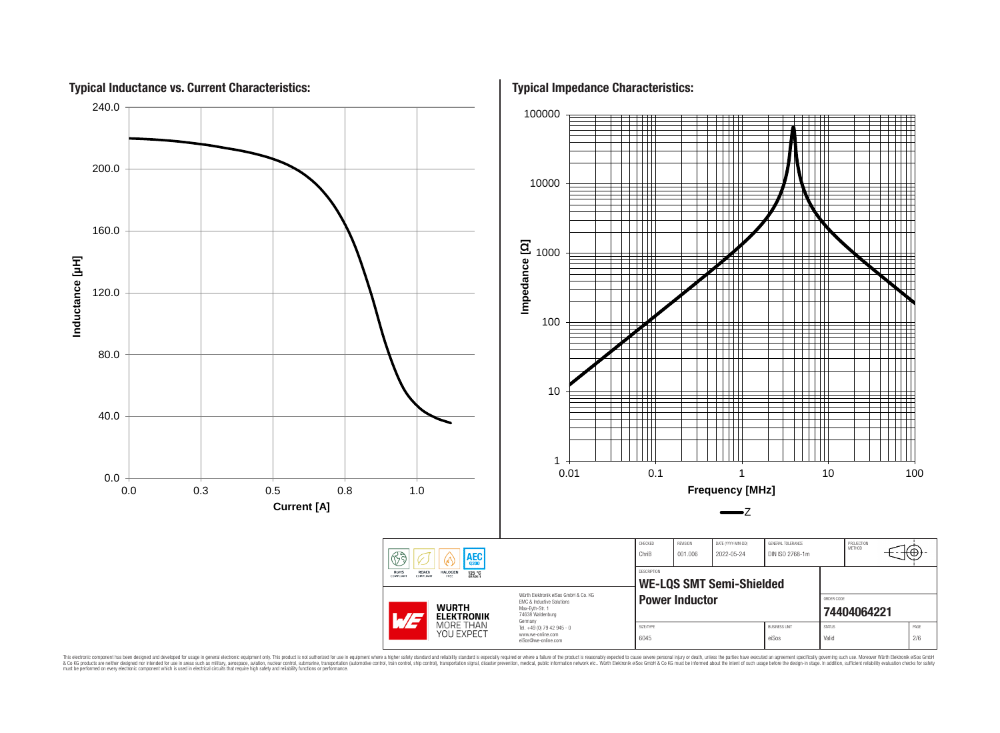

This electronic component has been designed and developed for usage in general electronic equipment only. This product is not authorized for use in equipment where a higher safely standard and reliability standard si espec & Ook product a label and the membed of the seasuch as marked and as which such a membed and the such assume that income in the seasuch and the simulation and the such assume that include to the such a membed and the such

**Typical Impedance Characteristics:**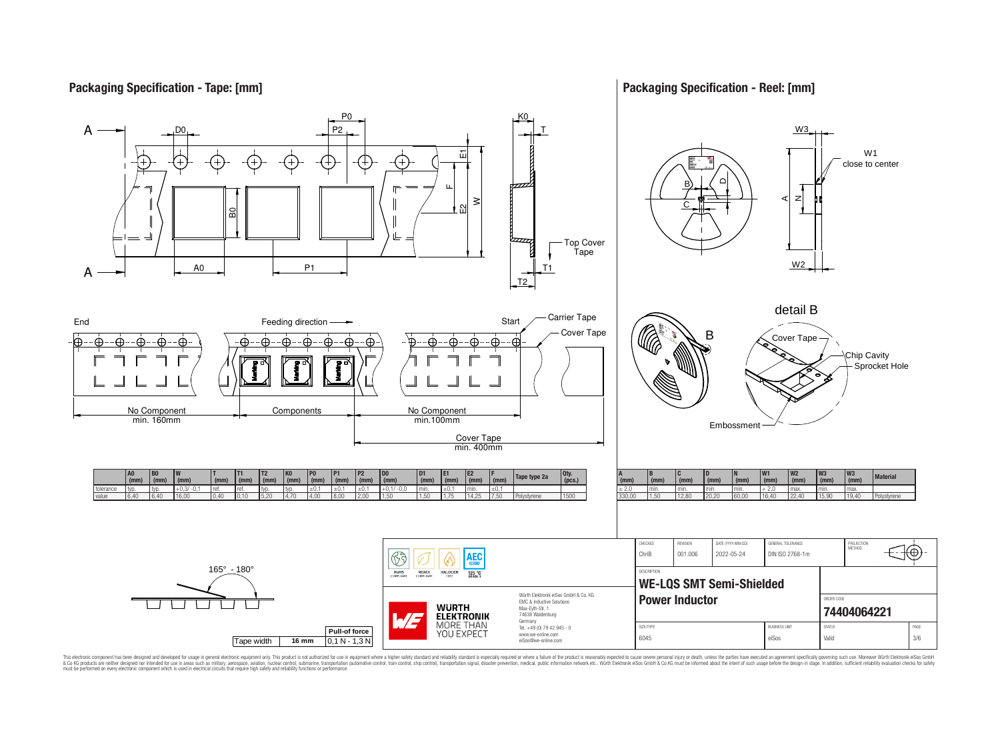## **Packaging Specification - Tape: [mm]**

## **Packaging Specification - Reel: [mm]**



This electronic component has been designed and developed for usage in general electronic equipment only. This product is not authorized for subserved requipment where a higher selection equipment where a higher selection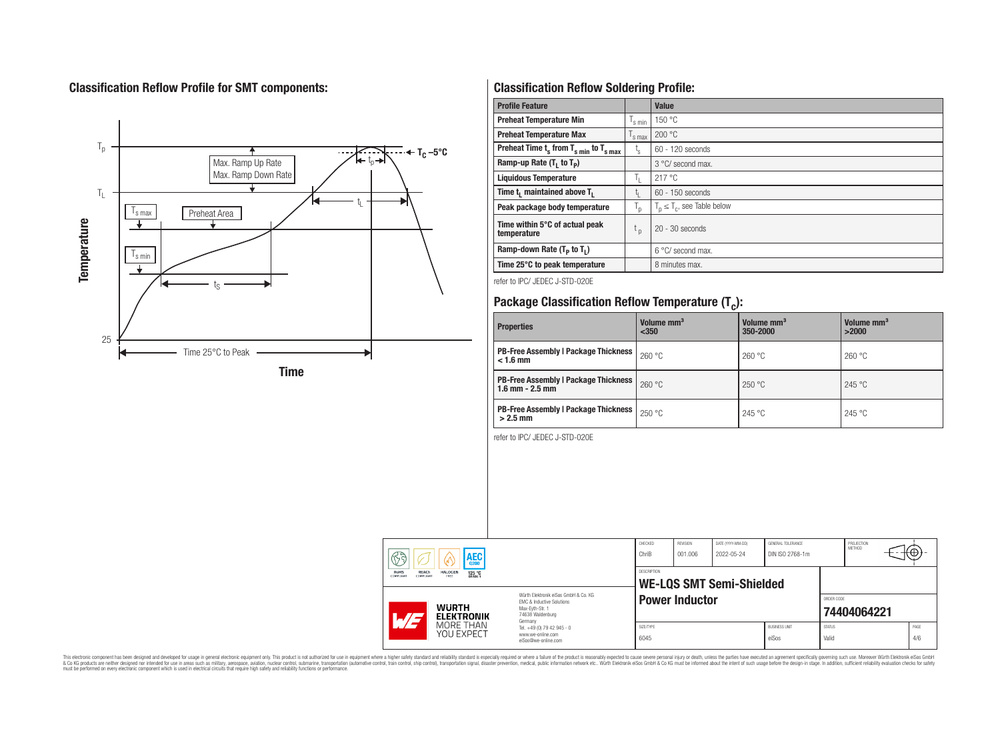# **Classification Reflow Profile for SMT components:**



# **Classification Reflow Soldering Profile:**

| <b>Profile Feature</b>                              |                           | <b>Value</b>                     |
|-----------------------------------------------------|---------------------------|----------------------------------|
| <b>Preheat Temperature Min</b>                      | 's min                    | 150 °C                           |
| <b>Preheat Temperature Max</b>                      | <sup>I</sup> s max        | 200 °C                           |
| Preheat Time $t_s$ from $T_{s,min}$ to $T_{s,max}$  | $t_{\rm s}$               | $60 - 120$ seconds               |
| Ramp-up Rate $(T_1$ to $T_p$ )                      |                           | 3 °C/ second max.                |
| <b>Liquidous Temperature</b>                        | ъ.                        | 217 °C                           |
| Time t <sub>i</sub> maintained above T <sub>1</sub> | t,                        | $60 - 150$ seconds               |
| Peak package body temperature                       | $\mathsf{I}_{\mathsf{D}}$ | $T_p \leq T_c$ , see Table below |
| Time within 5°C of actual peak<br>temperature       | $t_{p}$                   | $20 - 30$ seconds                |
| Ramp-down Rate $(T_p$ to $T_1$ )                    |                           | $6^{\circ}$ C/ second max.       |
| Time 25°C to peak temperature                       |                           | 8 minutes max.                   |

refer to IPC/ JEDEC J-STD-020E

# **Package Classification Reflow Temperature (T<sup>c</sup> ):**

| <b>Properties</b>                                                    | Volume mm <sup>3</sup><br>< 350 | Volume mm <sup>3</sup><br>350-2000 | Volume mm <sup>3</sup><br>>2000 |  |  |
|----------------------------------------------------------------------|---------------------------------|------------------------------------|---------------------------------|--|--|
| <b>PB-Free Assembly   Package Thickness  </b><br>$< 1.6$ mm          | 260 °C                          | 260 °C                             | 260 °C                          |  |  |
| <b>PB-Free Assembly   Package Thickness  </b><br>$1.6$ mm $- 2.5$ mm | 260 °C                          | 250 °C                             | 245 °C                          |  |  |
| <b>PB-Free Assembly   Package Thickness  </b><br>$>2.5$ mm           | 250 °C                          | 245 °C                             | 245 °C                          |  |  |

refer to IPC/ JEDEC J-STD-020E

| $\mathbb{R}$ a<br><b>AEC</b><br>V<br>0200<br>REACh<br><b>RoHS</b><br><b>HALOGEN</b><br>125 °C |                                                                                                                                                                                                      | CHECKED<br>ChriB<br>DESCRIPTION | REVISION<br>001.006                                                               | DATE (YYYY-MM-DD)<br>2022-05-24 | GENERAL TOLERANCE<br>DIN ISO 2768-1m |                           | PROJECTION<br><b>METHOD</b>   | ⊣t⊕∗                   |  |  |             |
|-----------------------------------------------------------------------------------------------|------------------------------------------------------------------------------------------------------------------------------------------------------------------------------------------------------|---------------------------------|-----------------------------------------------------------------------------------|---------------------------------|--------------------------------------|---------------------------|-------------------------------|------------------------|--|--|-------------|
|                                                                                               | COMPLIANT<br>COMPLIANT<br>FREE<br>Würth Flektronik eiSos GmbH & Co. KG<br><b>FMC &amp; Inductive Solutions</b><br><b>WURTH</b><br>Max-Evth-Str. 1<br>74638 Waldenburg<br><b>ELEKTRONIK</b><br>$AT -$ |                                 | <b>WE-LQS SMT Semi-Shielded</b><br><b>Power Inductor</b>                          |                                 |                                      | ORDER CODE<br>74404064221 |                               |                        |  |  |             |
|                                                                                               |                                                                                                                                                                                                      | MORE THAN<br>YOU EXPECT         | Germany<br>Tel. +49 (0) 79 42 945 - 0<br>www.we-online.com<br>eiSos@we-online.com | SIZE/TYPE<br>6045               |                                      |                           | <b>BUSINESS UNIT</b><br>eiSos | <b>STATUS</b><br>Valid |  |  | PAGE<br>4/6 |

This electronic component has been designed and developed for usage in general electronic equipment only. This product is not authorized for subserved requipment where a higher selection equipment where a higher selection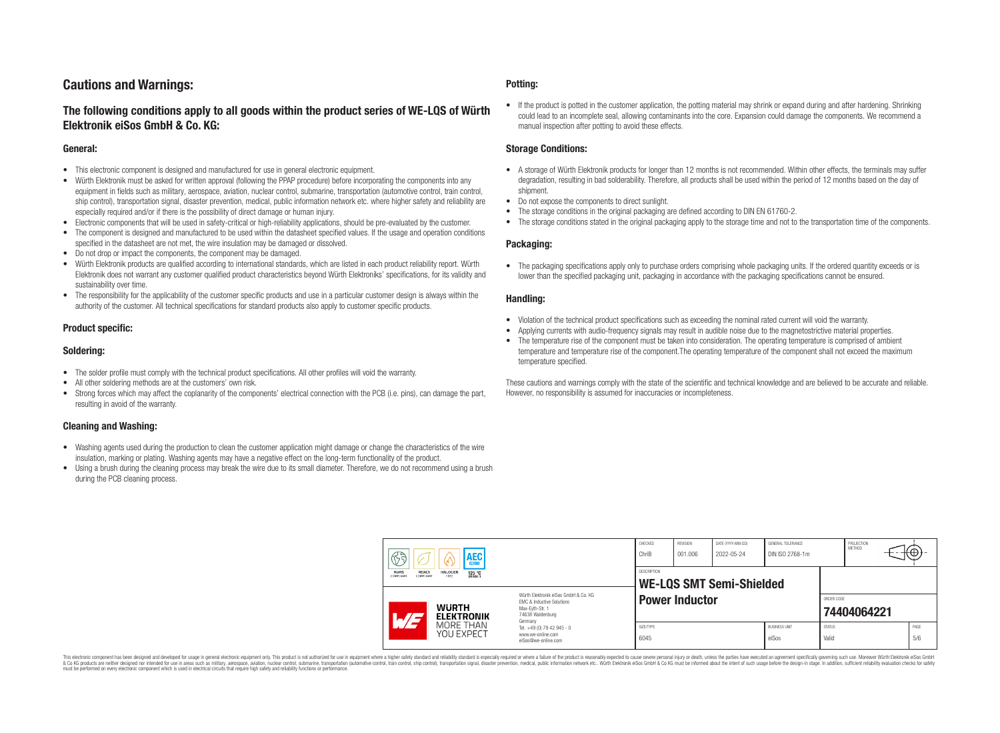## **Cautions and Warnings:**

## **The following conditions apply to all goods within the product series of WE-LQS of Würth Elektronik eiSos GmbH & Co. KG:**

#### **General:**

- This electronic component is designed and manufactured for use in general electronic equipment.
- Würth Elektronik must be asked for written approval (following the PPAP procedure) before incorporating the components into any equipment in fields such as military, aerospace, aviation, nuclear control, submarine, transportation (automotive control, train control, ship control), transportation signal, disaster prevention, medical, public information network etc. where higher safety and reliability are especially required and/or if there is the possibility of direct damage or human injury.
- Electronic components that will be used in safety-critical or high-reliability applications, should be pre-evaluated by the customer.
- The component is designed and manufactured to be used within the datasheet specified values. If the usage and operation conditions specified in the datasheet are not met, the wire insulation may be damaged or dissolved.
- Do not drop or impact the components, the component may be damaged.
- Würth Elektronik products are qualified according to international standards, which are listed in each product reliability report. Würth Elektronik does not warrant any customer qualified product characteristics beyond Würth Elektroniks' specifications, for its validity and sustainability over time.
- The responsibility for the applicability of the customer specific products and use in a particular customer design is always within the authority of the customer. All technical specifications for standard products also apply to customer specific products.

#### **Product specific:**

#### **Soldering:**

- The solder profile must comply with the technical product specifications. All other profiles will void the warranty.
- All other soldering methods are at the customers' own risk.
- Strong forces which may affect the coplanarity of the components' electrical connection with the PCB (i.e. pins), can damage the part, resulting in avoid of the warranty.

#### **Cleaning and Washing:**

- Washing agents used during the production to clean the customer application might damage or change the characteristics of the wire insulation, marking or plating. Washing agents may have a negative effect on the long-term functionality of the product.
- Using a brush during the cleaning process may break the wire due to its small diameter. Therefore, we do not recommend using a brush during the PCB cleaning process.

#### **Potting:**

• If the product is potted in the customer application, the potting material may shrink or expand during and after hardening. Shrinking could lead to an incomplete seal, allowing contaminants into the core. Expansion could damage the components. We recommend a manual inspection after potting to avoid these effects.

#### **Storage Conditions:**

- A storage of Würth Elektronik products for longer than 12 months is not recommended. Within other effects, the terminals may suffer degradation, resulting in bad solderability. Therefore, all products shall be used within the period of 12 months based on the day of shipment.
- Do not expose the components to direct sunlight.
- The storage conditions in the original packaging are defined according to DIN EN 61760-2.
- The storage conditions stated in the original packaging apply to the storage time and not to the transportation time of the components.

#### **Packaging:**

• The packaging specifications apply only to purchase orders comprising whole packaging units. If the ordered quantity exceeds or is lower than the specified packaging unit, packaging in accordance with the packaging specifications cannot be ensured.

#### **Handling:**

- Violation of the technical product specifications such as exceeding the nominal rated current will void the warranty.
- Applying currents with audio-frequency signals may result in audible noise due to the magnetostrictive material properties.
- The temperature rise of the component must be taken into consideration. The operating temperature is comprised of ambient temperature and temperature rise of the component.The operating temperature of the component shall not exceed the maximum temperature specified.

These cautions and warnings comply with the state of the scientific and technical knowledge and are believed to be accurate and reliable. However, no responsibility is assumed for inaccuracies or incompleteness.

| 63<br><b>AEC</b><br>0200<br>REACh<br>RoHS<br><b>HALOGEN</b><br>125 °C<br>GRADE 1<br>COMPLIANT<br>FREE<br>COMPLIANT                                 |                         | ChriB<br><b>DESCRIPTION</b>                                                       | 001.006           | 2022-05-24 | DIN ISO 2768-1m |                               | METHOD                    |  | +⊕, |             |
|----------------------------------------------------------------------------------------------------------------------------------------------------|-------------------------|-----------------------------------------------------------------------------------|-------------------|------------|-----------------|-------------------------------|---------------------------|--|-----|-------------|
| Würth Flektronik eiSos GmbH & Co. KG<br>EMC & Inductive Solutions<br><b>WURTH</b><br>Max-Evth-Str. 1<br>74638 Waldenburg<br><b>ELEKTRONIK</b><br>H |                         | <b>WE-LQS SMT Semi-Shielded</b><br><b>Power Inductor</b>                          |                   |            |                 |                               | ORDER CODE<br>74404064221 |  |     |             |
|                                                                                                                                                    | MORE THAN<br>YOU EXPECT | Germany<br>Tel. +49 (0) 79 42 945 - 0<br>www.we-online.com<br>eiSos@we-online.com | SIZE/TYPE<br>6045 |            |                 | <b>BUSINESS UNIT</b><br>eiSos | <b>STATUS</b><br>Valid    |  |     | PAGE<br>5/6 |

This electronic component has been designed and developed for usage in general electronic equipment only. This product is not authorized for use in equipment where a higher safety standard and reliability standard si espec & Ook product a label and the membed of the seasuch as marked and as which such a membed and the such assume that income in the seasuch and the simulation and the such assume that include to the such a membed and the such